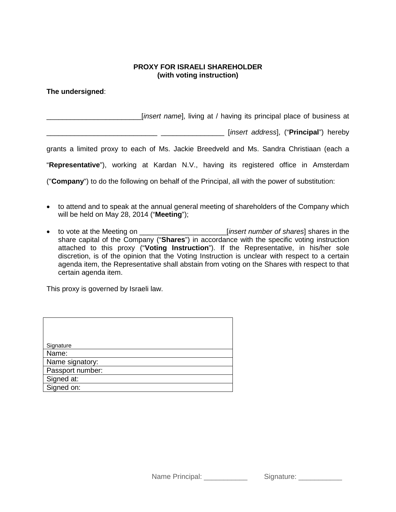## **PROXY FOR ISRAELI SHAREHOLDER (with voting instruction)**

**The undersigned**:

\_\_\_\_\_\_\_\_\_\_\_\_\_\_\_\_\_\_\_\_\_\_\_\_[*insert name*], living at / having its principal place of business at

\_\_\_\_\_\_\_\_\_\_\_\_\_\_\_\_\_\_\_\_\_\_\_\_\_\_\_\_ \_\_\_\_\_\_\_\_\_\_\_\_\_\_\_\_ [*insert address*], ("**Principal**") hereby

grants a limited proxy to each of Ms. Jackie Breedveld and Ms. Sandra Christiaan (each a

"**Representative**"), working at Kardan N.V., having its registered office in Amsterdam

("**Company**") to do the following on behalf of the Principal, all with the power of substitution:

- to attend and to speak at the annual general meeting of shareholders of the Company which will be held on May 28, 2014 ("**Meeting**");
- to vote at the Meeting on \_\_\_\_\_\_\_\_\_\_\_\_\_\_\_\_\_\_\_\_\_\_[*insert number of shares*] shares in the share capital of the Company ("**Shares**") in accordance with the specific voting instruction attached to this proxy ("**Voting Instruction**"). If the Representative, in his/her sole discretion, is of the opinion that the Voting Instruction is unclear with respect to a certain agenda item, the Representative shall abstain from voting on the Shares with respect to that certain agenda item.

This proxy is governed by Israeli law.

| Signature        |
|------------------|
| Name:            |
| Name signatory:  |
| Passport number: |
| Signed at:       |
| Signed on:       |

Name Principal: \_\_\_\_\_\_\_\_\_\_\_\_\_ Signature: \_\_\_\_\_\_\_\_\_\_